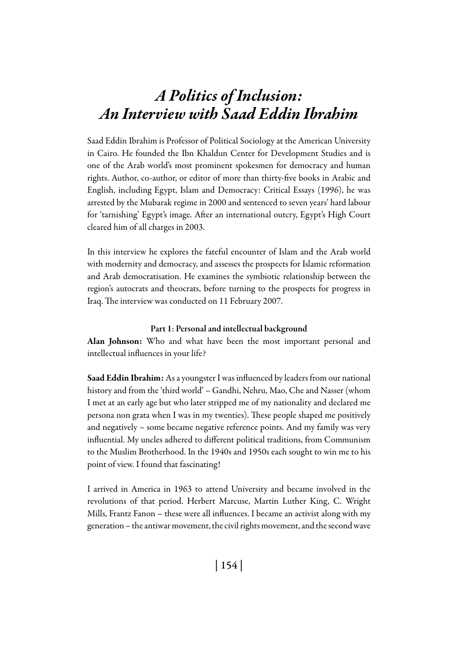# *A Politics of Inclusion: An Interview with Saad Eddin Ibrahim*

Saad Eddin Ibrahim is Professor of Political Sociology at the American University in Cairo. He founded the Ibn Khaldun Center for Development Studies and is one of the Arab world's most prominent spokesmen for democracy and human rights. Author, co-author, or editor of more than thirty-five books in Arabic and English, including Egypt, Islam and Democracy: Critical Essays (1996), he was arrested by the Mubarak regime in 2000 and sentenced to seven years' hard labour for 'tarnishing' Egypt's image. After an international outcry, Egypt's High Court cleared him of all charges in 2003.

In this interview he explores the fateful encounter of Islam and the Arab world with modernity and democracy, and assesses the prospects for Islamic reformation and Arab democratisation. He examines the symbiotic relationship between the region's autocrats and theocrats, before turning to the prospects for progress in Iraq. The interview was conducted on 11 February 2007.

#### Part 1: Personal and intellectual background

Alan Johnson: Who and what have been the most important personal and intellectual influences in your life?

Saad Eddin Ibrahim: As a youngster I was influenced by leaders from our national history and from the 'third world' – Gandhi, Nehru, Mao, Che and Nasser (whom I met at an early age but who later stripped me of my nationality and declared me persona non grata when I was in my twenties). These people shaped me positively and negatively – some became negative reference points. And my family was very influential. My uncles adhered to different political traditions, from Communism to the Muslim Brotherhood. In the 1940s and 1950s each sought to win me to his point of view. I found that fascinating!

I arrived in America in 1963 to attend University and became involved in the revolutions of that period. Herbert Marcuse, Martin Luther King, C. Wright Mills, Frantz Fanon – these were all influences. I became an activist along with my generation – the antiwar movement, the civil rights movement, and the second wave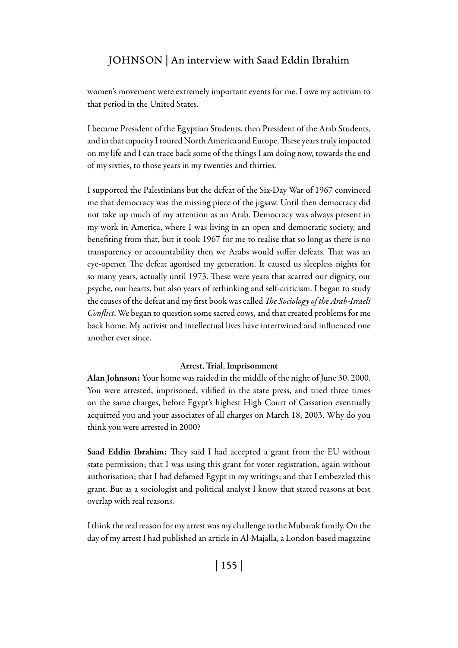women's movement were extremely important events for me. I owe my activism to that period in the United States.

I became President of the Egyptian Students, then President of the Arab Students, and in that capacity I toured North America and Europe. These years truly impacted on my life and I can trace back some of the things I am doing now, towards the end of my sixties, to those years in my twenties and thirties.

I supported the Palestinians but the defeat of the Six-Day War of 1967 convinced me that democracy was the missing piece of the jigsaw. Until then democracy did not take up much of my attention as an Arab. Democracy was always present in my work in America, where I was living in an open and democratic society, and benefiting from that, but it took 1967 for me to realise that so long as there is no transparency or accountability then we Arabs would suffer defeats. That was an eye-opener. The defeat agonised my generation. It caused us sleepless nights for so many years, actually until 1973. These were years that scarred our dignity, our psyche, our hearts, but also years of rethinking and self-criticism. I began to study the causes of the defeat and my first book was called *The Sociology of the Arab-Israeli Conflict*. We began to question some sacred cows, and that created problems for me back home. My activist and intellectual lives have intertwined and influenced one another ever since.

#### Arrest, Trial, Imprisonment

Alan Johnson: Your home was raided in the middle of the night of June 30, 2000. You were arrested, imprisoned, vilified in the state press, and tried three times on the same charges, before Egypt's highest High Court of Cassation eventually acquitted you and your associates of all charges on March 18, 2003. Why do you think you were arrested in 2000?

Saad Eddin Ibrahim: They said I had accepted a grant from the EU without state permission; that I was using this grant for voter registration, again without authorisation; that I had defamed Egypt in my writings; and that I embezzled this grant. But as a sociologist and political analyst I know that stated reasons at best overlap with real reasons.

I think the real reason for my arrest was my challenge to the Mubarak family. On the day of my arrest I had published an article in Al-Majalla, a London-based magazine

| 155 |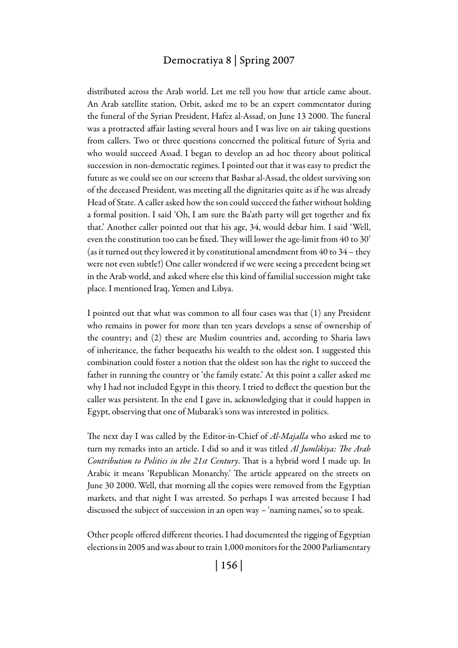distributed across the Arab world. Let me tell you how that article came about. An Arab satellite station, Orbit, asked me to be an expert commentator during the funeral of the Syrian President, Hafez al-Assad, on June 13 2000. The funeral was a protracted affair lasting several hours and I was live on air taking questions from callers. Two or three questions concerned the political future of Syria and who would succeed Assad. I began to develop an ad hoc theory about political succession in non-democratic regimes. I pointed out that it was easy to predict the future as we could see on our screens that Bashar al-Assad, the oldest surviving son of the deceased President, was meeting all the dignitaries quite as if he was already Head of State. A caller asked how the son could succeed the father without holding a formal position. I said 'Oh, I am sure the Ba'ath party will get together and fix that.' Another caller pointed out that his age, 34, would debar him. I said 'Well, even the constitution too can be fixed. They will lower the age-limit from 40 to 30' (as it turned out they lowered it by constitutional amendment from 40 to 34 – they were not even subtle!) One caller wondered if we were seeing a precedent being set in the Arab world, and asked where else this kind of familial succession might take place. I mentioned Iraq, Yemen and Libya.

I pointed out that what was common to all four cases was that (1) any President who remains in power for more than ten years develops a sense of ownership of the country; and (2) these are Muslim countries and, according to Sharia laws of inheritance, the father bequeaths his wealth to the oldest son. I suggested this combination could foster a notion that the oldest son has the right to succeed the father in running the country or 'the family estate.' At this point a caller asked me why I had not included Egypt in this theory. I tried to deflect the question but the caller was persistent. In the end I gave in, acknowledging that it could happen in Egypt, observing that one of Mubarak's sons was interested in politics.

The next day I was called by the Editor-in-Chief of *Al-Majalla* who asked me to turn my remarks into an article. I did so and it was titled *Al Jumlikiya: The Arab Contribution to Politics in the 21st Century*. That is a hybrid word I made up. In Arabic it means 'Republican Monarchy.' The article appeared on the streets on June 30 2000. Well, that morning all the copies were removed from the Egyptian markets, and that night I was arrested. So perhaps I was arrested because I had discussed the subject of succession in an open way – 'naming names,' so to speak.

Other people offered different theories. I had documented the rigging of Egyptian elections in 2005 and was about to train 1,000 monitors for the 2000 Parliamentary

| 156 |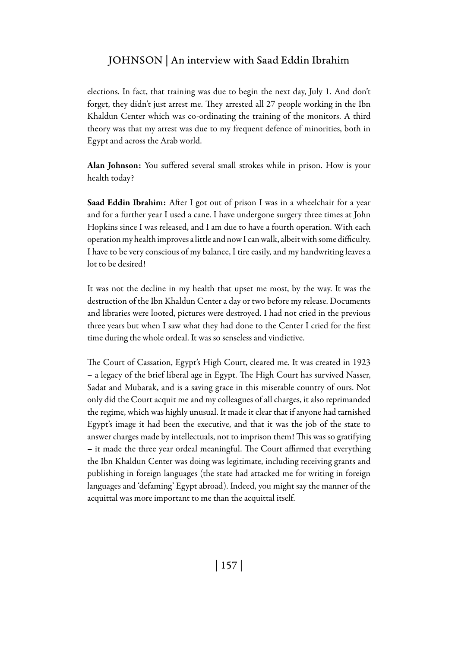elections. In fact, that training was due to begin the next day, July 1. And don't forget, they didn't just arrest me. They arrested all 27 people working in the Ibn Khaldun Center which was co-ordinating the training of the monitors. A third theory was that my arrest was due to my frequent defence of minorities, both in Egypt and across the Arab world.

Alan Johnson: You suffered several small strokes while in prison. How is your health today?

Saad Eddin Ibrahim: After I got out of prison I was in a wheelchair for a year and for a further year I used a cane. I have undergone surgery three times at John Hopkins since I was released, and I am due to have a fourth operation. With each operation my health improves a little and now I can walk, albeit with some difficulty. I have to be very conscious of my balance, I tire easily, and my handwriting leaves a lot to be desired!

It was not the decline in my health that upset me most, by the way. It was the destruction of the Ibn Khaldun Center a day or two before my release. Documents and libraries were looted, pictures were destroyed. I had not cried in the previous three years but when I saw what they had done to the Center I cried for the first time during the whole ordeal. It was so senseless and vindictive.

The Court of Cassation, Egypt's High Court, cleared me. It was created in 1923 – a legacy of the brief liberal age in Egypt. The High Court has survived Nasser, Sadat and Mubarak, and is a saving grace in this miserable country of ours. Not only did the Court acquit me and my colleagues of all charges, it also reprimanded the regime, which was highly unusual. It made it clear that if anyone had tarnished Egypt's image it had been the executive, and that it was the job of the state to answer charges made by intellectuals, not to imprison them! This was so gratifying – it made the three year ordeal meaningful. The Court affirmed that everything the Ibn Khaldun Center was doing was legitimate, including receiving grants and publishing in foreign languages (the state had attacked me for writing in foreign languages and 'defaming' Egypt abroad). Indeed, you might say the manner of the acquittal was more important to me than the acquittal itself.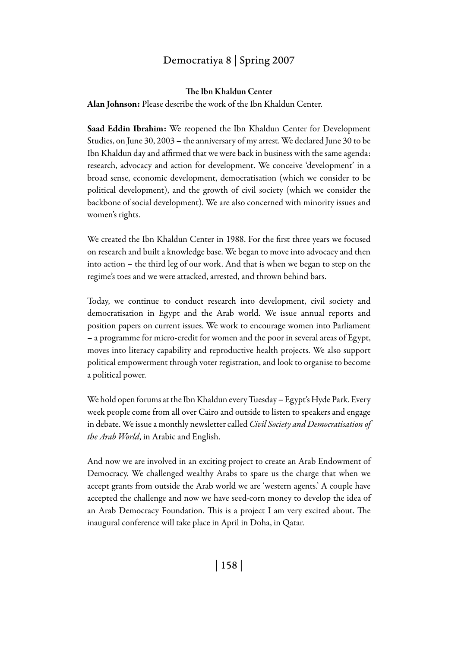#### The Ibn Khaldun Center

Alan Johnson: Please describe the work of the Ibn Khaldun Center.

Saad Eddin Ibrahim: We reopened the Ibn Khaldun Center for Development Studies, on June 30, 2003 – the anniversary of my arrest. We declared June 30 to be Ibn Khaldun day and affirmed that we were back in business with the same agenda: research, advocacy and action for development. We conceive 'development' in a broad sense, economic development, democratisation (which we consider to be political development), and the growth of civil society (which we consider the backbone of social development). We are also concerned with minority issues and women's rights.

We created the Ibn Khaldun Center in 1988. For the first three years we focused on research and built a knowledge base. We began to move into advocacy and then into action – the third leg of our work. And that is when we began to step on the regime's toes and we were attacked, arrested, and thrown behind bars.

Today, we continue to conduct research into development, civil society and democratisation in Egypt and the Arab world. We issue annual reports and position papers on current issues. We work to encourage women into Parliament – a programme for micro-credit for women and the poor in several areas of Egypt, moves into literacy capability and reproductive health projects. We also support political empowerment through voter registration, and look to organise to become a political power.

We hold open forums at the Ibn Khaldun every Tuesday – Egypt's Hyde Park. Every week people come from all over Cairo and outside to listen to speakers and engage in debate. We issue a monthly newsletter called *Civil Society and Democratisation of the Arab World*, in Arabic and English.

And now we are involved in an exciting project to create an Arab Endowment of Democracy. We challenged wealthy Arabs to spare us the charge that when we accept grants from outside the Arab world we are 'western agents.' A couple have accepted the challenge and now we have seed-corn money to develop the idea of an Arab Democracy Foundation. This is a project I am very excited about. The inaugural conference will take place in April in Doha, in Qatar.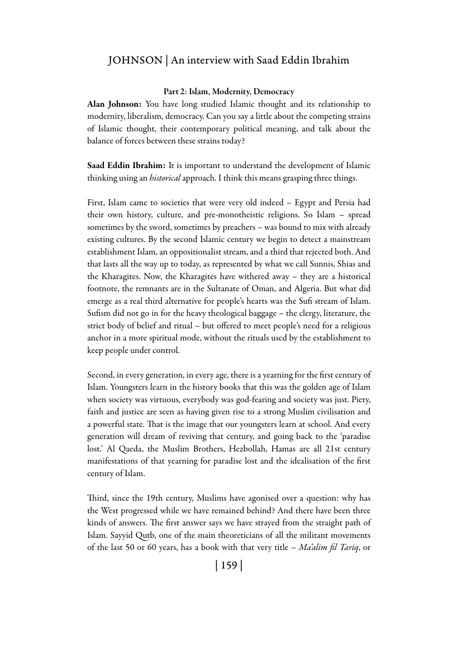#### Part 2: Islam, Modernity, Democracy

Alan Johnson: You have long studied Islamic thought and its relationship to modernity, liberalism, democracy. Can you say a little about the competing strains of Islamic thought, their contemporary political meaning, and talk about the balance of forces between these strains today?

Saad Eddin Ibrahim: It is important to understand the development of Islamic thinking using an *historical* approach. I think this means grasping three things.

First, Islam came to societies that were very old indeed – Egypt and Persia had their own history, culture, and pre-monotheistic religions. So Islam – spread sometimes by the sword, sometimes by preachers – was bound to mix with already existing cultures. By the second Islamic century we begin to detect a mainstream establishment Islam, an oppositionalist stream, and a third that rejected both. And that lasts all the way up to today, as represented by what we call Sunnis, Shias and the Kharagites. Now, the Kharagites have withered away – they are a historical footnote, the remnants are in the Sultanate of Oman, and Algeria. But what did emerge as a real third alternative for people's hearts was the Sufi stream of Islam. Sufism did not go in for the heavy theological baggage – the clergy, literature, the strict body of belief and ritual – but offered to meet people's need for a religious anchor in a more spiritual mode, without the rituals used by the establishment to keep people under control.

Second, in every generation, in every age, there is a yearning for the first century of Islam. Youngsters learn in the history books that this was the golden age of Islam when society was virtuous, everybody was god-fearing and society was just. Piety, faith and justice are seen as having given rise to a strong Muslim civilisation and a powerful state. That is the image that our youngsters learn at school. And every generation will dream of reviving that century, and going back to the 'paradise lost.' Al Qaeda, the Muslim Brothers, Hezbollah, Hamas are all 21st century manifestations of that yearning for paradise lost and the idealisation of the first century of Islam.

Third, since the 19th century, Muslims have agonised over a question: why has the West progressed while we have remained behind? And there have been three kinds of answers. The first answer says we have strayed from the straight path of Islam. Sayyid Qutb, one of the main theoreticians of all the militant movements of the last 50 or 60 years, has a book with that very title – *Ma'alim fil Tariq*, or

| 159 |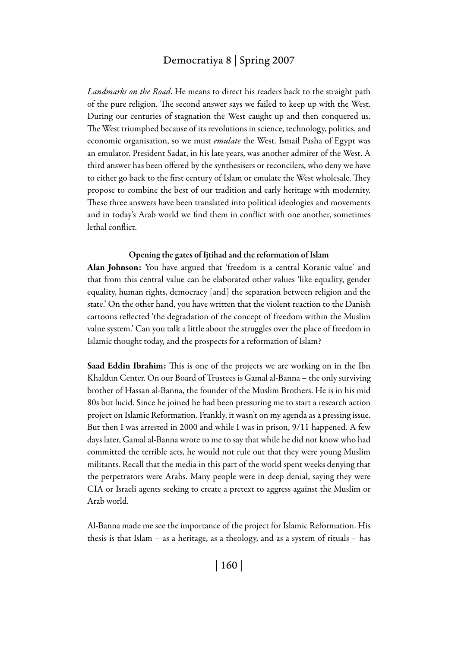*Landmarks on the Road*. He means to direct his readers back to the straight path of the pure religion. The second answer says we failed to keep up with the West. During our centuries of stagnation the West caught up and then conquered us. The West triumphed because of its revolutions in science, technology, politics, and economic organisation, so we must *emulate* the West. Ismail Pasha of Egypt was an emulator. President Sadat, in his late years, was another admirer of the West. A third answer has been offered by the synthesisers or reconcilers, who deny we have to either go back to the first century of Islam or emulate the West wholesale. They propose to combine the best of our tradition and early heritage with modernity. These three answers have been translated into political ideologies and movements and in today's Arab world we find them in conflict with one another, sometimes lethal conflict.

#### Opening the gates of Ijtihad and the reformation of Islam

Alan Johnson: You have argued that 'freedom is a central Koranic value' and that from this central value can be elaborated other values 'like equality, gender equality, human rights, democracy [and] the separation between religion and the state.' On the other hand, you have written that the violent reaction to the Danish cartoons reflected 'the degradation of the concept of freedom within the Muslim value system.' Can you talk a little about the struggles over the place of freedom in Islamic thought today, and the prospects for a reformation of Islam?

Saad Eddin Ibrahim: This is one of the projects we are working on in the Ibn Khaldun Center. On our Board of Trustees is Gamal al-Banna – the only surviving brother of Hassan al-Banna, the founder of the Muslim Brothers. He is in his mid 80s but lucid. Since he joined he had been pressuring me to start a research action project on Islamic Reformation. Frankly, it wasn't on my agenda as a pressing issue. But then I was arrested in 2000 and while I was in prison, 9/11 happened. A few days later, Gamal al-Banna wrote to me to say that while he did not know who had committed the terrible acts, he would not rule out that they were young Muslim militants. Recall that the media in this part of the world spent weeks denying that the perpetrators were Arabs. Many people were in deep denial, saying they were CIA or Israeli agents seeking to create a pretext to aggress against the Muslim or Arab world.

Al-Banna made me see the importance of the project for Islamic Reformation. His thesis is that Islam – as a heritage, as a theology, and as a system of rituals – has

| 160 |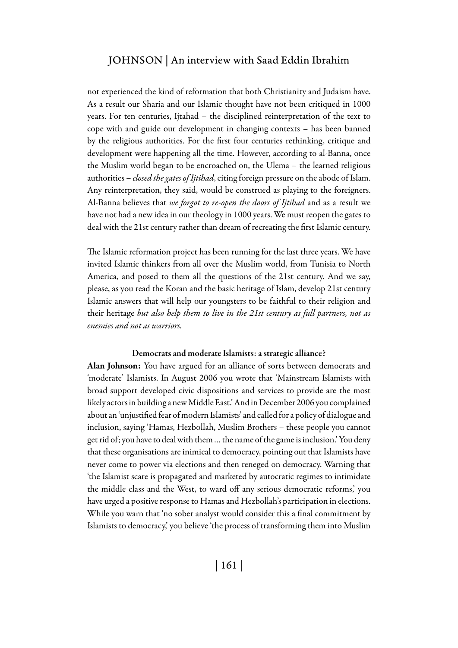not experienced the kind of reformation that both Christianity and Judaism have. As a result our Sharia and our Islamic thought have not been critiqued in 1000 years. For ten centuries, Ijtahad – the disciplined reinterpretation of the text to cope with and guide our development in changing contexts – has been banned by the religious authorities. For the first four centuries rethinking, critique and development were happening all the time. However, according to al-Banna, once the Muslim world began to be encroached on, the Ulema – the learned religious authorities – *closed the gates of Ijtihad*, citing foreign pressure on the abode of Islam. Any reinterpretation, they said, would be construed as playing to the foreigners. Al-Banna believes that *we forgot to re-open the doors of Ijtihad* and as a result we have not had a new idea in our theology in 1000 years. We must reopen the gates to deal with the 21st century rather than dream of recreating the first Islamic century.

The Islamic reformation project has been running for the last three years. We have invited Islamic thinkers from all over the Muslim world, from Tunisia to North America, and posed to them all the questions of the 21st century. And we say, please, as you read the Koran and the basic heritage of Islam, develop 21st century Islamic answers that will help our youngsters to be faithful to their religion and their heritage *but also help them to live in the 21st century as full partners, not as enemies and not as warriors.*

#### Democrats and moderate Islamists: a strategic alliance?

Alan Johnson: You have argued for an alliance of sorts between democrats and 'moderate' Islamists. In August 2006 you wrote that 'Mainstream Islamists with broad support developed civic dispositions and services to provide are the most likely actors in building a new Middle East.' And in December 2006 you complained about an 'unjustified fear of modern Islamists' and called for a policy of dialogue and inclusion, saying 'Hamas, Hezbollah, Muslim Brothers – these people you cannot get rid of; you have to deal with them … the name of the game is inclusion.' You deny that these organisations are inimical to democracy, pointing out that Islamists have never come to power via elections and then reneged on democracy. Warning that 'the Islamist scare is propagated and marketed by autocratic regimes to intimidate the middle class and the West, to ward off any serious democratic reforms,' you have urged a positive response to Hamas and Hezbollah's participation in elections. While you warn that 'no sober analyst would consider this a final commitment by Islamists to democracy,' you believe 'the process of transforming them into Muslim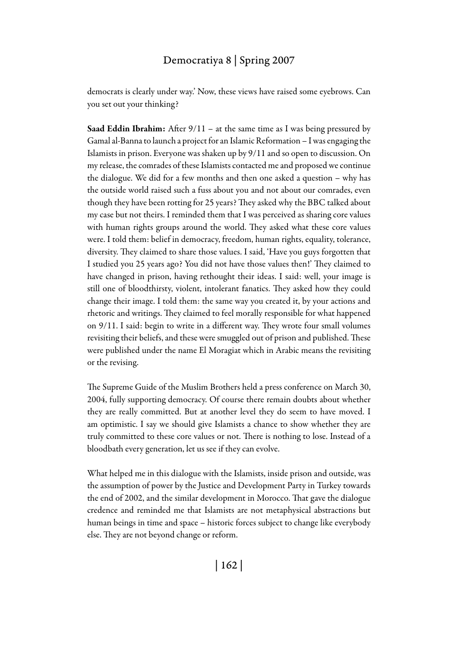democrats is clearly under way.' Now, these views have raised some eyebrows. Can you set out your thinking?

**Saad Eddin Ibrahim:** After  $9/11$  – at the same time as I was being pressured by Gamal al-Banna to launch a project for an Islamic Reformation – I was engaging the Islamists in prison. Everyone was shaken up by 9/11 and so open to discussion. On my release, the comrades of these Islamists contacted me and proposed we continue the dialogue. We did for a few months and then one asked a question – why has the outside world raised such a fuss about you and not about our comrades, even though they have been rotting for 25 years? They asked why the BBC talked about my case but not theirs. I reminded them that I was perceived as sharing core values with human rights groups around the world. They asked what these core values were. I told them: belief in democracy, freedom, human rights, equality, tolerance, diversity. They claimed to share those values. I said, 'Have you guys forgotten that I studied you 25 years ago? You did not have those values then!' They claimed to have changed in prison, having rethought their ideas. I said: well, your image is still one of bloodthirsty, violent, intolerant fanatics. They asked how they could change their image. I told them: the same way you created it, by your actions and rhetoric and writings. They claimed to feel morally responsible for what happened on 9/11. I said: begin to write in a different way. They wrote four small volumes revisiting their beliefs, and these were smuggled out of prison and published. These were published under the name El Moragiat which in Arabic means the revisiting or the revising.

The Supreme Guide of the Muslim Brothers held a press conference on March 30, 2004, fully supporting democracy. Of course there remain doubts about whether they are really committed. But at another level they do seem to have moved. I am optimistic. I say we should give Islamists a chance to show whether they are truly committed to these core values or not. There is nothing to lose. Instead of a bloodbath every generation, let us see if they can evolve.

What helped me in this dialogue with the Islamists, inside prison and outside, was the assumption of power by the Justice and Development Party in Turkey towards the end of 2002, and the similar development in Morocco. That gave the dialogue credence and reminded me that Islamists are not metaphysical abstractions but human beings in time and space – historic forces subject to change like everybody else. They are not beyond change or reform.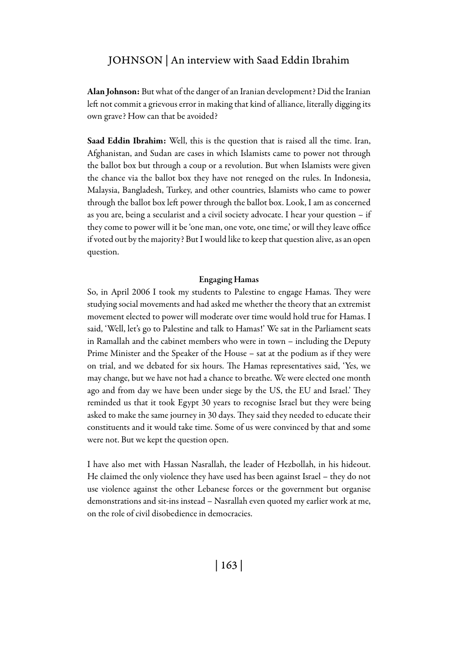Alan Johnson: But what of the danger of an Iranian development? Did the Iranian left not commit a grievous error in making that kind of alliance, literally digging its own grave? How can that be avoided?

Saad Eddin Ibrahim: Well, this is the question that is raised all the time. Iran, Afghanistan, and Sudan are cases in which Islamists came to power not through the ballot box but through a coup or a revolution. But when Islamists were given the chance via the ballot box they have not reneged on the rules. In Indonesia, Malaysia, Bangladesh, Turkey, and other countries, Islamists who came to power through the ballot box left power through the ballot box. Look, I am as concerned as you are, being a secularist and a civil society advocate. I hear your question – if they come to power will it be 'one man, one vote, one time,' or will they leave office if voted out by the majority? But I would like to keep that question alive, as an open question.

#### Engaging Hamas

So, in April 2006 I took my students to Palestine to engage Hamas. They were studying social movements and had asked me whether the theory that an extremist movement elected to power will moderate over time would hold true for Hamas. I said, 'Well, let's go to Palestine and talk to Hamas!' We sat in the Parliament seats in Ramallah and the cabinet members who were in town – including the Deputy Prime Minister and the Speaker of the House – sat at the podium as if they were on trial, and we debated for six hours. The Hamas representatives said, 'Yes, we may change, but we have not had a chance to breathe. We were elected one month ago and from day we have been under siege by the US, the EU and Israel.' They reminded us that it took Egypt 30 years to recognise Israel but they were being asked to make the same journey in 30 days. They said they needed to educate their constituents and it would take time. Some of us were convinced by that and some were not. But we kept the question open.

I have also met with Hassan Nasrallah, the leader of Hezbollah, in his hideout. He claimed the only violence they have used has been against Israel – they do not use violence against the other Lebanese forces or the government but organise demonstrations and sit-ins instead – Nasrallah even quoted my earlier work at me, on the role of civil disobedience in democracies.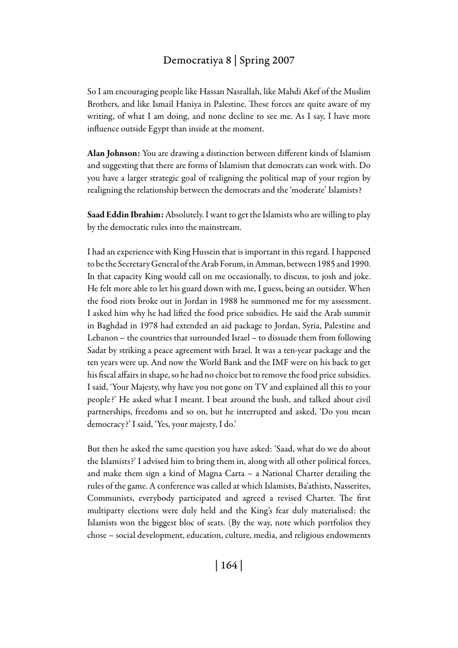So I am encouraging people like Hassan Nasrallah, like Mahdi Akef of the Muslim Brothers, and like Ismail Haniya in Palestine. These forces are quite aware of my writing, of what I am doing, and none decline to see me. As I say, I have more influence outside Egypt than inside at the moment.

Alan Johnson: You are drawing a distinction between different kinds of Islamism and suggesting that there are forms of Islamism that democrats can work with. Do you have a larger strategic goal of realigning the political map of your region by realigning the relationship between the democrats and the 'moderate' Islamists?

Saad Eddin Ibrahim: Absolutely. I want to get the Islamists who are willing to play by the democratic rules into the mainstream.

I had an experience with King Hussein that is important in this regard. I happened to be the Secretary General of the Arab Forum, in Amman, between 1985 and 1990. In that capacity King would call on me occasionally, to discuss, to josh and joke. He felt more able to let his guard down with me, I guess, being an outsider. When the food riots broke out in Jordan in 1988 he summoned me for my assessment. I asked him why he had lifted the food price subsidies. He said the Arab summit in Baghdad in 1978 had extended an aid package to Jordan, Syria, Palestine and Lebanon – the countries that surrounded Israel – to dissuade them from following Sadat by striking a peace agreement with Israel. It was a ten-year package and the ten years were up. And now the World Bank and the IMF were on his back to get his fiscal affairs in shape, so he had no choice but to remove the food price subsidies. I said, 'Your Majesty, why have you not gone on TV and explained all this to your people?' He asked what I meant. I beat around the bush, and talked about civil partnerships, freedoms and so on, but he interrupted and asked, 'Do you mean democracy?' I said, 'Yes, your majesty, I do.'

But then he asked the same question you have asked: 'Saad, what do we do about the Islamists?' I advised him to bring them in, along with all other political forces, and make them sign a kind of Magna Carta – a National Charter detailing the rules of the game. A conference was called at which Islamists, Ba'athists, Nasserites, Communists, everybody participated and agreed a revised Charter. The first multiparty elections were duly held and the King's fear duly materialised: the Islamists won the biggest bloc of seats. (By the way, note which portfolios they chose – social development, education, culture, media, and religious endowments

| 164 |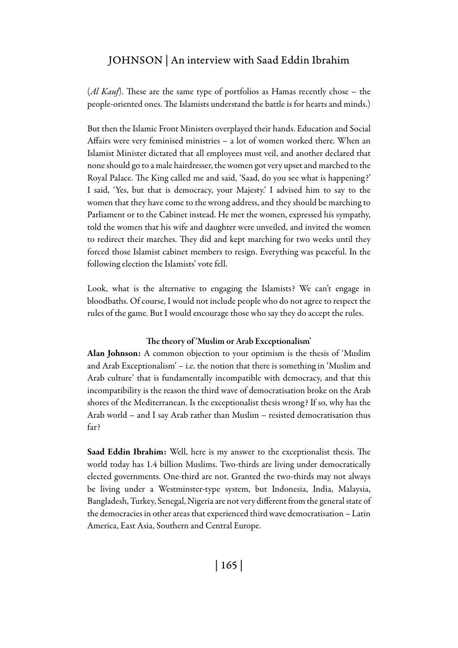(*Al Kauf*). These are the same type of portfolios as Hamas recently chose – the people-oriented ones. The Islamists understand the battle is for hearts and minds.)

But then the Islamic Front Ministers overplayed their hands. Education and Social Affairs were very feminised ministries – a lot of women worked there. When an Islamist Minister dictated that all employees must veil, and another declared that none should go to a male hairdresser, the women got very upset and marched to the Royal Palace. The King called me and said, 'Saad, do you see what is happening?' I said, 'Yes, but that is democracy, your Majesty.' I advised him to say to the women that they have come to the wrong address, and they should be marching to Parliament or to the Cabinet instead. He met the women, expressed his sympathy, told the women that his wife and daughter were unveiled, and invited the women to redirect their marches. They did and kept marching for two weeks until they forced those Islamist cabinet members to resign. Everything was peaceful. In the following election the Islamists' vote fell.

Look, what is the alternative to engaging the Islamists? We can't engage in bloodbaths. Of course, I would not include people who do not agree to respect the rules of the game. But I would encourage those who say they do accept the rules.

#### The theory of 'Muslim or Arab Exceptionalism'

Alan Johnson: A common objection to your optimism is the thesis of 'Muslim and Arab Exceptionalism' – i.e. the notion that there is something in 'Muslim and Arab culture' that is fundamentally incompatible with democracy, and that this incompatibility is the reason the third wave of democratisation broke on the Arab shores of the Mediterranean. Is the exceptionalist thesis wrong? If so, why has the Arab world – and I say Arab rather than Muslim – resisted democratisation thus far?

Saad Eddin Ibrahim: Well, here is my answer to the exceptionalist thesis. The world today has 1.4 billion Muslims. Two-thirds are living under democratically elected governments. One-third are not. Granted the two-thirds may not always be living under a Westminster-type system, but Indonesia, India, Malaysia, Bangladesh, Turkey, Senegal, Nigeria are not very different from the general state of the democracies in other areas that experienced third wave democratisation – Latin America, East Asia, Southern and Central Europe.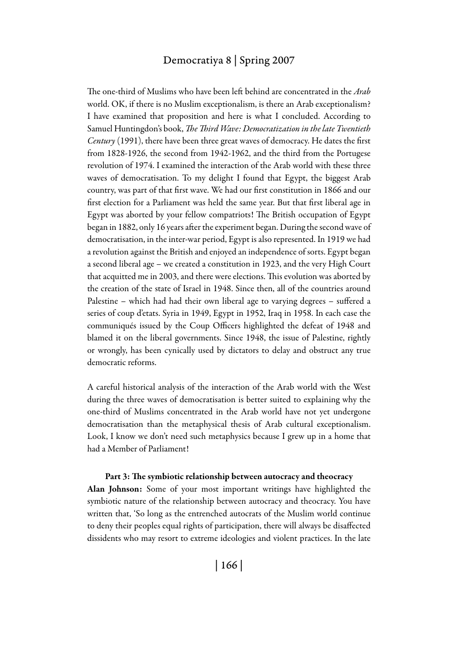The one-third of Muslims who have been left behind are concentrated in the *Arab* world. OK, if there is no Muslim exceptionalism, is there an Arab exceptionalism? I have examined that proposition and here is what I concluded. According to Samuel Huntingdon's book, *The Third Wave: Democratization in the late Twentieth Century* (1991), there have been three great waves of democracy. He dates the first from 1828-1926, the second from 1942-1962, and the third from the Portugese revolution of 1974. I examined the interaction of the Arab world with these three waves of democratisation. To my delight I found that Egypt, the biggest Arab country, was part of that first wave. We had our first constitution in 1866 and our first election for a Parliament was held the same year. But that first liberal age in Egypt was aborted by your fellow compatriots! The British occupation of Egypt began in 1882, only 16 years after the experiment began. During the second wave of democratisation, in the inter-war period, Egypt is also represented. In 1919 we had a revolution against the British and enjoyed an independence of sorts. Egypt began a second liberal age – we created a constitution in 1923, and the very High Court that acquitted me in 2003, and there were elections. This evolution was aborted by the creation of the state of Israel in 1948. Since then, all of the countries around Palestine – which had had their own liberal age to varying degrees – suffered a series of coup d'etats. Syria in 1949, Egypt in 1952, Iraq in 1958. In each case the communiqués issued by the Coup Officers highlighted the defeat of 1948 and blamed it on the liberal governments. Since 1948, the issue of Palestine, rightly or wrongly, has been cynically used by dictators to delay and obstruct any true democratic reforms.

A careful historical analysis of the interaction of the Arab world with the West during the three waves of democratisation is better suited to explaining why the one-third of Muslims concentrated in the Arab world have not yet undergone democratisation than the metaphysical thesis of Arab cultural exceptionalism. Look, I know we don't need such metaphysics because I grew up in a home that had a Member of Parliament!

#### Part 3: The symbiotic relationship between autocracy and theocracy

Alan Johnson: Some of your most important writings have highlighted the symbiotic nature of the relationship between autocracy and theocracy. You have written that, 'So long as the entrenched autocrats of the Muslim world continue to deny their peoples equal rights of participation, there will always be disaffected dissidents who may resort to extreme ideologies and violent practices. In the late

| 166 |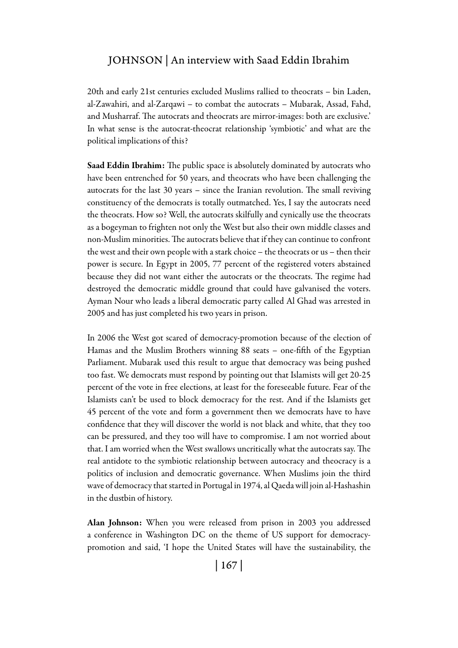20th and early 21st centuries excluded Muslims rallied to theocrats – bin Laden, al-Zawahiri, and al-Zarqawi – to combat the autocrats – Mubarak, Assad, Fahd, and Musharraf. The autocrats and theocrats are mirror-images: both are exclusive.' In what sense is the autocrat-theocrat relationship 'symbiotic' and what are the political implications of this?

Saad Eddin Ibrahim: The public space is absolutely dominated by autocrats who have been entrenched for 50 years, and theocrats who have been challenging the autocrats for the last 30 years – since the Iranian revolution. The small reviving constituency of the democrats is totally outmatched. Yes, I say the autocrats need the theocrats. How so? Well, the autocrats skilfully and cynically use the theocrats as a bogeyman to frighten not only the West but also their own middle classes and non-Muslim minorities. The autocrats believe that if they can continue to confront the west and their own people with a stark choice – the theocrats or us – then their power is secure. In Egypt in 2005, 77 percent of the registered voters abstained because they did not want either the autocrats or the theocrats. The regime had destroyed the democratic middle ground that could have galvanised the voters. Ayman Nour who leads a liberal democratic party called Al Ghad was arrested in 2005 and has just completed his two years in prison.

In 2006 the West got scared of democracy-promotion because of the election of Hamas and the Muslim Brothers winning 88 seats – one-fifth of the Egyptian Parliament. Mubarak used this result to argue that democracy was being pushed too fast. We democrats must respond by pointing out that Islamists will get 20-25 percent of the vote in free elections, at least for the foreseeable future. Fear of the Islamists can't be used to block democracy for the rest. And if the Islamists get 45 percent of the vote and form a government then we democrats have to have confidence that they will discover the world is not black and white, that they too can be pressured, and they too will have to compromise. I am not worried about that. I am worried when the West swallows uncritically what the autocrats say. The real antidote to the symbiotic relationship between autocracy and theocracy is a politics of inclusion and democratic governance. When Muslims join the third wave of democracy that started in Portugal in 1974, al Qaeda will join al-Hashashin in the dustbin of history.

Alan Johnson: When you were released from prison in 2003 you addressed a conference in Washington DC on the theme of US support for democracypromotion and said, 'I hope the United States will have the sustainability, the

| 167 |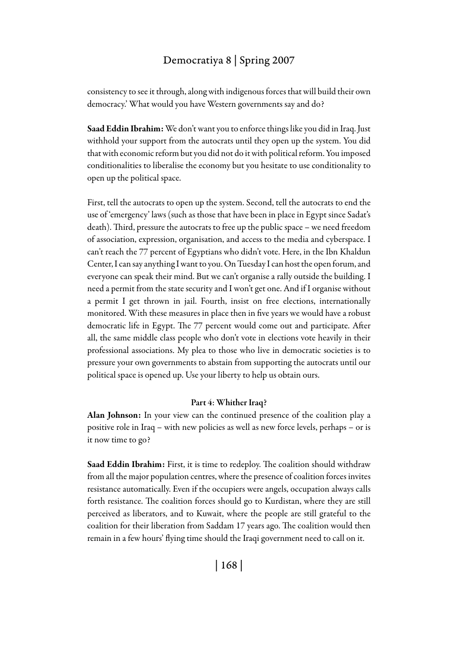consistency to see it through, along with indigenous forces that will build their own democracy.' What would you have Western governments say and do?

Saad Eddin Ibrahim: We don't want you to enforce things like you did in Iraq. Just withhold your support from the autocrats until they open up the system. You did that with economic reform but you did not do it with political reform. You imposed conditionalities to liberalise the economy but you hesitate to use conditionality to open up the political space.

First, tell the autocrats to open up the system. Second, tell the autocrats to end the use of 'emergency' laws (such as those that have been in place in Egypt since Sadat's death). Third, pressure the autocrats to free up the public space – we need freedom of association, expression, organisation, and access to the media and cyberspace. I can't reach the 77 percent of Egyptians who didn't vote. Here, in the Ibn Khaldun Center, I can say anything I want to you. On Tuesday I can host the open forum, and everyone can speak their mind. But we can't organise a rally outside the building. I need a permit from the state security and I won't get one. And if I organise without a permit I get thrown in jail. Fourth, insist on free elections, internationally monitored. With these measures in place then in five years we would have a robust democratic life in Egypt. The 77 percent would come out and participate. After all, the same middle class people who don't vote in elections vote heavily in their professional associations. My plea to those who live in democratic societies is to pressure your own governments to abstain from supporting the autocrats until our political space is opened up. Use your liberty to help us obtain ours.

#### Part 4: Whither Iraq?

Alan Johnson: In your view can the continued presence of the coalition play a positive role in Iraq – with new policies as well as new force levels, perhaps – or is it now time to go?

Saad Eddin Ibrahim: First, it is time to redeploy. The coalition should withdraw from all the major population centres, where the presence of coalition forces invites resistance automatically. Even if the occupiers were angels, occupation always calls forth resistance. The coalition forces should go to Kurdistan, where they are still perceived as liberators, and to Kuwait, where the people are still grateful to the coalition for their liberation from Saddam 17 years ago. The coalition would then remain in a few hours' flying time should the Iraqi government need to call on it.

| 168 |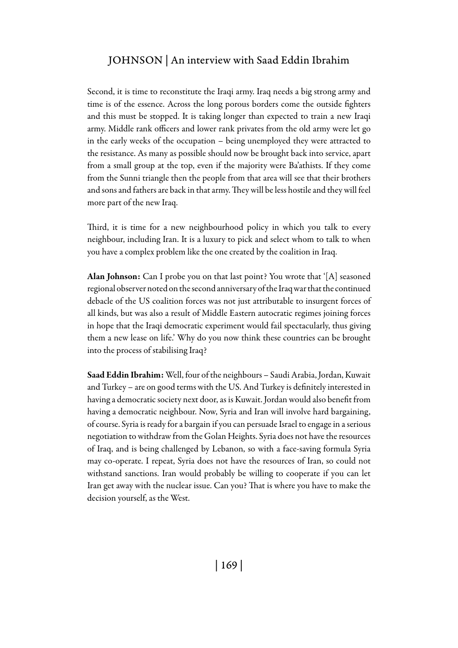Second, it is time to reconstitute the Iraqi army. Iraq needs a big strong army and time is of the essence. Across the long porous borders come the outside fighters and this must be stopped. It is taking longer than expected to train a new Iraqi army. Middle rank officers and lower rank privates from the old army were let go in the early weeks of the occupation – being unemployed they were attracted to the resistance. As many as possible should now be brought back into service, apart from a small group at the top, even if the majority were Ba'athists. If they come from the Sunni triangle then the people from that area will see that their brothers and sons and fathers are back in that army. They will be less hostile and they will feel more part of the new Iraq.

Third, it is time for a new neighbourhood policy in which you talk to every neighbour, including Iran. It is a luxury to pick and select whom to talk to when you have a complex problem like the one created by the coalition in Iraq.

Alan Johnson: Can I probe you on that last point? You wrote that '[A] seasoned regional observer noted on the second anniversary of the Iraq war that the continued debacle of the US coalition forces was not just attributable to insurgent forces of all kinds, but was also a result of Middle Eastern autocratic regimes joining forces in hope that the Iraqi democratic experiment would fail spectacularly, thus giving them a new lease on life.' Why do you now think these countries can be brought into the process of stabilising Iraq?

Saad Eddin Ibrahim: Well, four of the neighbours – Saudi Arabia, Jordan, Kuwait and Turkey – are on good terms with the US. And Turkey is definitely interested in having a democratic society next door, as is Kuwait. Jordan would also benefit from having a democratic neighbour. Now, Syria and Iran will involve hard bargaining, of course. Syria is ready for a bargain if you can persuade Israel to engage in a serious negotiation to withdraw from the Golan Heights. Syria does not have the resources of Iraq, and is being challenged by Lebanon, so with a face-saving formula Syria may co-operate. I repeat, Syria does not have the resources of Iran, so could not withstand sanctions. Iran would probably be willing to cooperate if you can let Iran get away with the nuclear issue. Can you? That is where you have to make the decision yourself, as the West.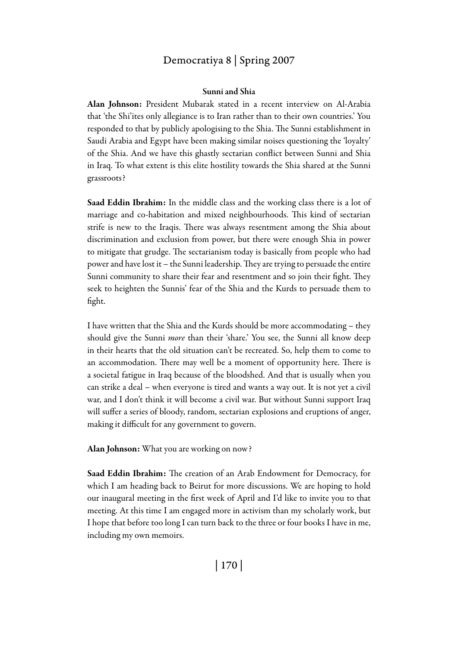#### Sunni and Shia

Alan Johnson: President Mubarak stated in a recent interview on Al-Arabia that 'the Shi'ites only allegiance is to Iran rather than to their own countries.' You responded to that by publicly apologising to the Shia. The Sunni establishment in Saudi Arabia and Egypt have been making similar noises questioning the 'loyalty' of the Shia. And we have this ghastly sectarian conflict between Sunni and Shia in Iraq. To what extent is this elite hostility towards the Shia shared at the Sunni grassroots?

Saad Eddin Ibrahim: In the middle class and the working class there is a lot of marriage and co-habitation and mixed neighbourhoods. This kind of sectarian strife is new to the Iraqis. There was always resentment among the Shia about discrimination and exclusion from power, but there were enough Shia in power to mitigate that grudge. The sectarianism today is basically from people who had power and have lost it – the Sunni leadership. They are trying to persuade the entire Sunni community to share their fear and resentment and so join their fight. They seek to heighten the Sunnis' fear of the Shia and the Kurds to persuade them to fight.

I have written that the Shia and the Kurds should be more accommodating – they should give the Sunni *more* than their 'share.' You see, the Sunni all know deep in their hearts that the old situation can't be recreated. So, help them to come to an accommodation. There may well be a moment of opportunity here. There is a societal fatigue in Iraq because of the bloodshed. And that is usually when you can strike a deal – when everyone is tired and wants a way out. It is not yet a civil war, and I don't think it will become a civil war. But without Sunni support Iraq will suffer a series of bloody, random, sectarian explosions and eruptions of anger, making it difficult for any government to govern.

Alan Johnson: What you are working on now?

Saad Eddin Ibrahim: The creation of an Arab Endowment for Democracy, for which I am heading back to Beirut for more discussions. We are hoping to hold our inaugural meeting in the first week of April and I'd like to invite you to that meeting. At this time I am engaged more in activism than my scholarly work, but I hope that before too long I can turn back to the three or four books I have in me, including my own memoirs.

| 170 |